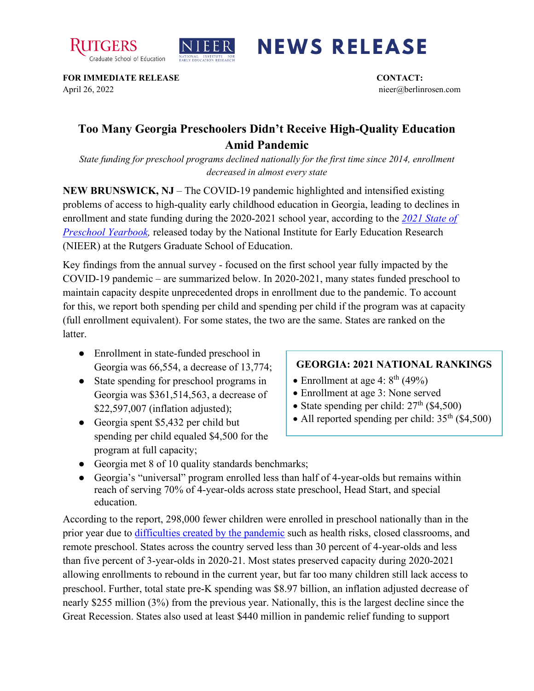



## **NEWS RELEASE**

**FOR IMMEDIATE RELEASE CONTACT:**  April 26, 2022 nieer@berlinrosen.com

## **Too Many Georgia Preschoolers Didn't Receive High-Quality Education Amid Pandemic**

*State funding for preschool programs declined nationally for the first time since 2014, enrollment decreased in almost every state*

**NEW BRUNSWICK, NJ** – The COVID-19 pandemic highlighted and intensified existing problems of access to high-quality early childhood education in Georgia, leading to declines in enrollment and state funding during the 2020-2021 school year, according to the *[2021 State of](https://nieer.org/state-preschool-yearbooks-yearbook2021)  [Preschool Yearbook,](https://nieer.org/state-preschool-yearbooks-yearbook2021)* released today by the National Institute for Early Education Research (NIEER) at the Rutgers Graduate School of Education.

Key findings from the annual survey - focused on the first school year fully impacted by the COVID-19 pandemic – are summarized below. In 2020-2021, many states funded preschool to maintain capacity despite unprecedented drops in enrollment due to the pandemic. To account for this, we report both spending per child and spending per child if the program was at capacity (full enrollment equivalent). For some states, the two are the same. States are ranked on the latter.

- Enrollment in state-funded preschool in Georgia was 66,554, a decrease of 13,774;
- State spending for preschool programs in Georgia was \$361,514,563, a decrease of \$22,597,007 (inflation adjusted);
- Georgia spent \$5,432 per child but spending per child equaled \$4,500 for the program at full capacity;

## **GEORGIA: 2021 NATIONAL RANKINGS**

- Enrollment at age 4:  $8<sup>th</sup>$  (49%)
- Enrollment at age 3: None served
- State spending per child:  $27<sup>th</sup>$  (\$4,500)
- All reported spending per child:  $35<sup>th</sup>$  (\$4,500)
- Georgia met 8 of 10 quality standards benchmarks;
- Georgia's "universal" program enrolled less than half of 4-year-olds but remains within reach of serving 70% of 4-year-olds across state preschool, Head Start, and special education.

According to the report, 298,000 fewer children were enrolled in preschool nationally than in the prior year due to [difficulties created by the pandemic](https://nieer.org/wp-content/uploads/2021/02/NIEER_Seven_Impacts_of_the_Pandemic_on_Young_Children_and_their_Parents.pdf) such as health risks, closed classrooms, and remote preschool. States across the country served less than 30 percent of 4-year-olds and less than five percent of 3-year-olds in 2020-21. Most states preserved capacity during 2020-2021 allowing enrollments to rebound in the current year, but far too many children still lack access to preschool. Further, total state pre-K spending was \$8.97 billion, an inflation adjusted decrease of nearly \$255 million (3%) from the previous year. Nationally, this is the largest decline since the Great Recession. States also used at least \$440 million in pandemic relief funding to support